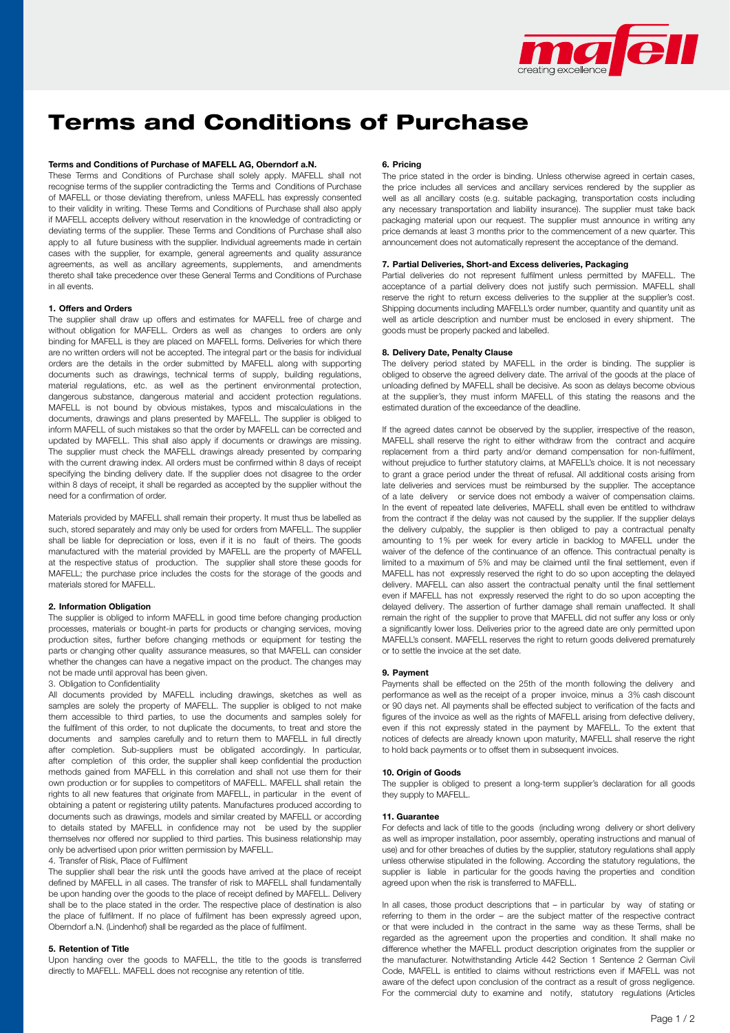

# Terms and Conditions of Purchase

#### Terms and Conditions of Purchase of MAFELL AG, Oberndorf a.N.

These Terms and Conditions of Purchase shall solely apply. MAFELL shall not recognise terms of the supplier contradicting the Terms and Conditions of Purchase of MAFELL or those deviating therefrom, unless MAFELL has expressly consented to their validity in writing. These Terms and Conditions of Purchase shall also apply if MAFELL accepts delivery without reservation in the knowledge of contradicting or deviating terms of the supplier. These Terms and Conditions of Purchase shall also apply to all future business with the supplier. Individual agreements made in certain cases with the supplier, for example, general agreements and quality assurance agreements, as well as ancillary agreements, supplements, and amendments thereto shall take precedence over these General Terms and Conditions of Purchase in all events.

#### 1. Offers and Orders

The supplier shall draw up offers and estimates for MAFELL free of charge and without obligation for MAFELL. Orders as well as changes to orders are only binding for MAFELL is they are placed on MAFELL forms. Deliveries for which there are no written orders will not be accepted. The integral part or the basis for individual orders are the details in the order submitted by MAFELL along with supporting documents such as drawings, technical terms of supply, building regulations, material regulations, etc. as well as the pertinent environmental protection, dangerous substance, dangerous material and accident protection regulations. MAFELL is not bound by obvious mistakes, typos and miscalculations in the documents, drawings and plans presented by MAFELL. The supplier is obliged to inform MAFELL of such mistakes so that the order by MAFELL can be corrected and updated by MAFELL. This shall also apply if documents or drawings are missing. The supplier must check the MAFELL drawings already presented by comparing with the current drawing index. All orders must be confirmed within 8 days of receipt specifying the binding delivery date. If the supplier does not disagree to the order within 8 days of receipt, it shall be regarded as accepted by the supplier without the need for a confirmation of order.

Materials provided by MAFELL shall remain their property. It must thus be labelled as such, stored separately and may only be used for orders from MAFELL. The supplier shall be liable for depreciation or loss, even if it is no fault of theirs. The goods manufactured with the material provided by MAFELL are the property of MAFELL at the respective status of production. The supplier shall store these goods for MAFELL; the purchase price includes the costs for the storage of the goods and materials stored for MAFELL.

### 2. Information Obligation

The supplier is obliged to inform MAFELL in good time before changing production processes, materials or bought-in parts for products or changing services, moving production sites, further before changing methods or equipment for testing the parts or changing other quality assurance measures, so that MAFELL can consider whether the changes can have a negative impact on the product. The changes may not be made until approval has been given.

#### 3. Obligation to Confidentiality

All documents provided by MAFELL including drawings, sketches as well as samples are solely the property of MAFELL. The supplier is obliged to not make them accessible to third parties, to use the documents and samples solely for the fulfilment of this order, to not duplicate the documents, to treat and store the documents and samples carefully and to return them to MAFELL in full directly after completion. Sub-suppliers must be obligated accordingly. In particular, after completion of this order, the supplier shall keep confidential the production methods gained from MAFELL in this correlation and shall not use them for their own production or for supplies to competitors of MAFELL. MAFELL shall retain the rights to all new features that originate from MAFELL, in particular in the event of obtaining a patent or registering utility patents. Manufactures produced according to documents such as drawings, models and similar created by MAFELL or according to details stated by MAFELL in confidence may not be used by the supplier themselves nor offered nor supplied to third parties. This business relationship may only be advertised upon prior written permission by MAFELL.

## 4. Transfer of Risk, Place of Fulfilment

The supplier shall bear the risk until the goods have arrived at the place of receipt defined by MAFELL in all cases. The transfer of risk to MAFELL shall fundamentally be upon handing over the goods to the place of receipt defined by MAFELL. Delivery shall be to the place stated in the order. The respective place of destination is also the place of fulfilment. If no place of fulfilment has been expressly agreed upon, Oberndorf a.N. (Lindenhof) shall be regarded as the place of fulfilment.

#### 5. Retention of Title

Upon handing over the goods to MAFELL, the title to the goods is transferred directly to MAFELL. MAFELL does not recognise any retention of title.

#### 6. Pricing

The price stated in the order is binding. Unless otherwise agreed in certain cases, the price includes all services and ancillary services rendered by the supplier as well as all ancillary costs (e.g. suitable packaging, transportation costs including any necessary transportation and liability insurance). The supplier must take back packaging material upon our request. The supplier must announce in writing any price demands at least 3 months prior to the commencement of a new quarter. This announcement does not automatically represent the acceptance of the demand.

## 7. Partial Deliveries, Short-and Excess deliveries, Packaging

Partial deliveries do not represent fulfilment unless permitted by MAFELL. The acceptance of a partial delivery does not justify such permission. MAFELL shall reserve the right to return excess deliveries to the supplier at the supplier's cost. Shipping documents including MAFELL's order number, quantity and quantity unit as well as article description and number must be enclosed in every shipment. The goods must be properly packed and labelled.

#### 8. Delivery Date, Penalty Clause

The delivery period stated by MAFELL in the order is binding. The supplier is obliged to observe the agreed delivery date. The arrival of the goods at the place of unloading defined by MAFELL shall be decisive. As soon as delays become obvious at the supplier's, they must inform MAFELL of this stating the reasons and the estimated duration of the exceedance of the deadline.

If the agreed dates cannot be observed by the supplier, irrespective of the reason, MAFELL shall reserve the right to either withdraw from the contract and acquire replacement from a third party and/or demand compensation for non-fulfilment, without prejudice to further statutory claims, at MAFELL's choice. It is not necessary to grant a grace period under the threat of refusal. All additional costs arising from late deliveries and services must be reimbursed by the supplier. The acceptance of a late delivery or service does not embody a waiver of compensation claims. In the event of repeated late deliveries, MAFELL shall even be entitled to withdraw from the contract if the delay was not caused by the supplier. If the supplier delays the delivery culpably, the supplier is then obliged to pay a contractual penalty amounting to 1% per week for every article in backlog to MAFELL under the waiver of the defence of the continuance of an offence. This contractual penalty is limited to a maximum of 5% and may be claimed until the final settlement, even if MAFELL has not expressly reserved the right to do so upon accepting the delayed delivery. MAFELL can also assert the contractual penalty until the final settlement even if MAFELL has not expressly reserved the right to do so upon accepting the delayed delivery. The assertion of further damage shall remain unaffected. It shall remain the right of the supplier to prove that MAFELL did not suffer any loss or only a significantly lower loss. Deliveries prior to the agreed date are only permitted upon MAFELL's consent. MAFELL reserves the right to return goods delivered prematurely or to settle the invoice at the set date.

#### 9. Payment

Payments shall be effected on the 25th of the month following the delivery and performance as well as the receipt of a proper invoice, minus a 3% cash discount or 90 days net. All payments shall be effected subject to verification of the facts and figures of the invoice as well as the rights of MAFELL arising from defective delivery, even if this not expressly stated in the payment by MAFELL. To the extent that notices of defects are already known upon maturity, MAFELL shall reserve the right to hold back payments or to offset them in subsequent invoices.

## 10. Origin of Goods

The supplier is obliged to present a long-term supplier's declaration for all goods they supply to MAFELL.

#### 11. Guarantee

For defects and lack of title to the goods (including wrong delivery or short delivery as well as improper installation, poor assembly, operating instructions and manual of use) and for other breaches of duties by the supplier, statutory regulations shall apply unless otherwise stipulated in the following. According the statutory regulations, the supplier is liable in particular for the goods having the properties and condition agreed upon when the risk is transferred to MAFELL.

In all cases, those product descriptions that – in particular by way of stating or referring to them in the order – are the subject matter of the respective contract or that were included in the contract in the same way as these Terms, shall be regarded as the agreement upon the properties and condition. It shall make no difference whether the MAFELL product description originates from the supplier or the manufacturer. Notwithstanding Article 442 Section 1 Sentence 2 German Civil Code, MAFELL is entitled to claims without restrictions even if MAFELL was not aware of the defect upon conclusion of the contract as a result of gross negligence. For the commercial duty to examine and notify, statutory regulations (Articles